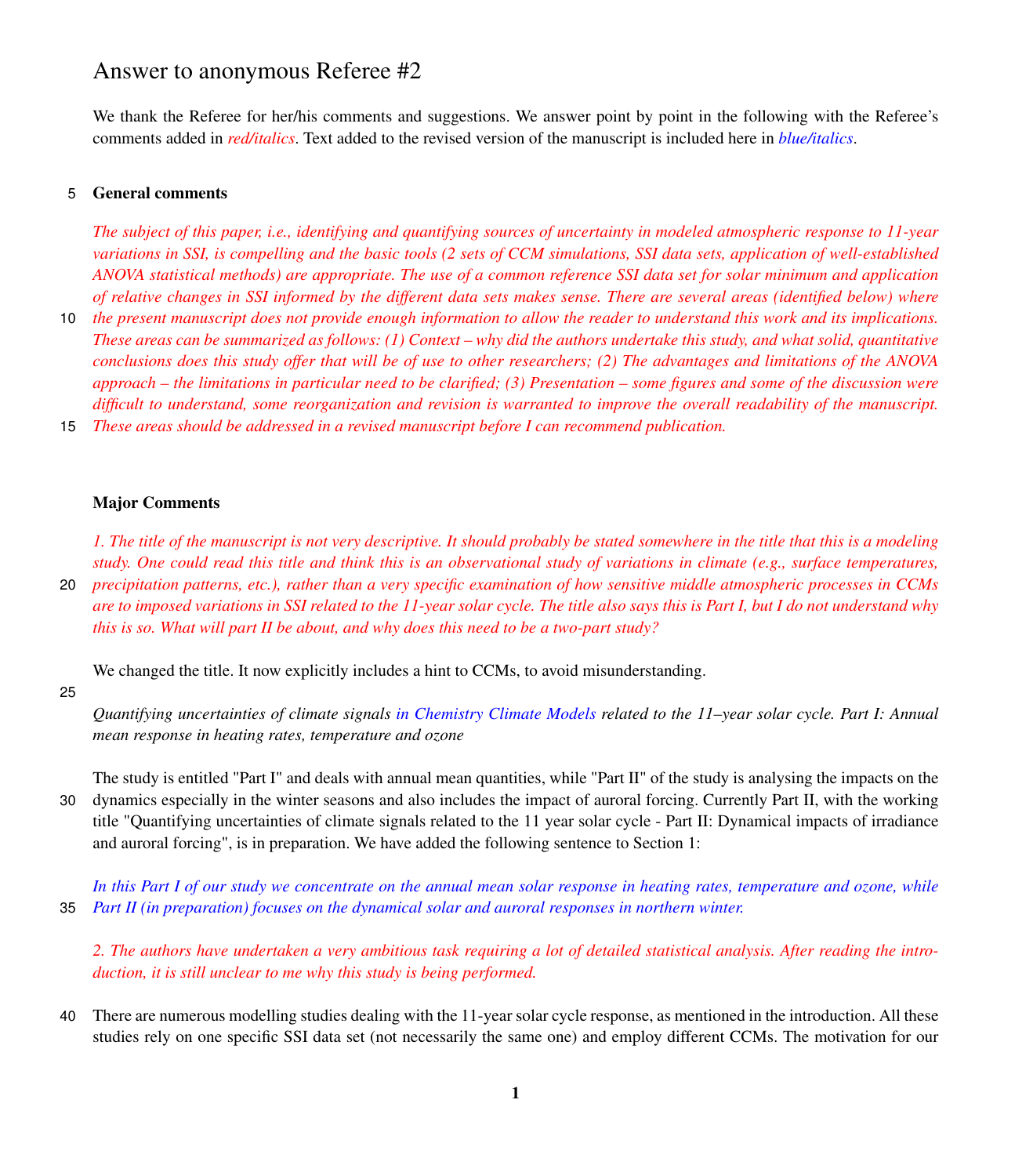# Answer to anonymous Referee #2

We thank the Referee for her/his comments and suggestions. We answer point by point in the following with the Referee's comments added in *red/italics*. Text added to the revised version of the manuscript is included here in *blue/italics*.

# 5 General comments

*The subject of this paper, i.e., identifying and quantifying sources of uncertainty in modeled atmospheric response to 11-year variations in SSI, is compelling and the basic tools (2 sets of CCM simulations, SSI data sets, application of well-established ANOVA statistical methods) are appropriate. The use of a common reference SSI data set for solar minimum and application of relative changes in SSI informed by the different data sets makes sense. There are several areas (identified below) where*

10 *the present manuscript does not provide enough information to allow the reader to understand this work and its implications. These areas can be summarized as follows: (1) Context – why did the authors undertake this study, and what solid, quantitative conclusions does this study offer that will be of use to other researchers; (2) The advantages and limitations of the ANOVA approach – the limitations in particular need to be clarified; (3) Presentation – some figures and some of the discussion were difficult to understand, some reorganization and revision is warranted to improve the overall readability of the manuscript.* 15 *These areas should be addressed in a revised manuscript before I can recommend publication.*

#### Major Comments

*1. The title of the manuscript is not very descriptive. It should probably be stated somewhere in the title that this is a modeling study. One could read this title and think this is an observational study of variations in climate (e.g., surface temperatures,* 20 *precipitation patterns, etc.), rather than a very specific examination of how sensitive middle atmospheric processes in CCMs are to imposed variations in SSI related to the 11-year solar cycle. The title also says this is Part I, but I do not understand why this is so. What will part II be about, and why does this need to be a two-part study?*

We changed the title. It now explicitly includes a hint to CCMs, to avoid misunderstanding.

25

*Quantifying uncertainties of climate signals in Chemistry Climate Models related to the 11–year solar cycle. Part I: Annual mean response in heating rates, temperature and ozone*

The study is entitled "Part I" and deals with annual mean quantities, while "Part II" of the study is analysing the impacts on the 30 dynamics especially in the winter seasons and also includes the impact of auroral forcing. Currently Part II, with the working title "Quantifying uncertainties of climate signals related to the 11 year solar cycle - Part II: Dynamical impacts of irradiance and auroral forcing", is in preparation. We have added the following sentence to Section 1:

*In this Part I of our study we concentrate on the annual mean solar response in heating rates, temperature and ozone, while* 35 *Part II (in preparation) focuses on the dynamical solar and auroral responses in northern winter.*

*2. The authors have undertaken a very ambitious task requiring a lot of detailed statistical analysis. After reading the introduction, it is still unclear to me why this study is being performed.*

40 There are numerous modelling studies dealing with the 11-year solar cycle response, as mentioned in the introduction. All these studies rely on one specific SSI data set (not necessarily the same one) and employ different CCMs. The motivation for our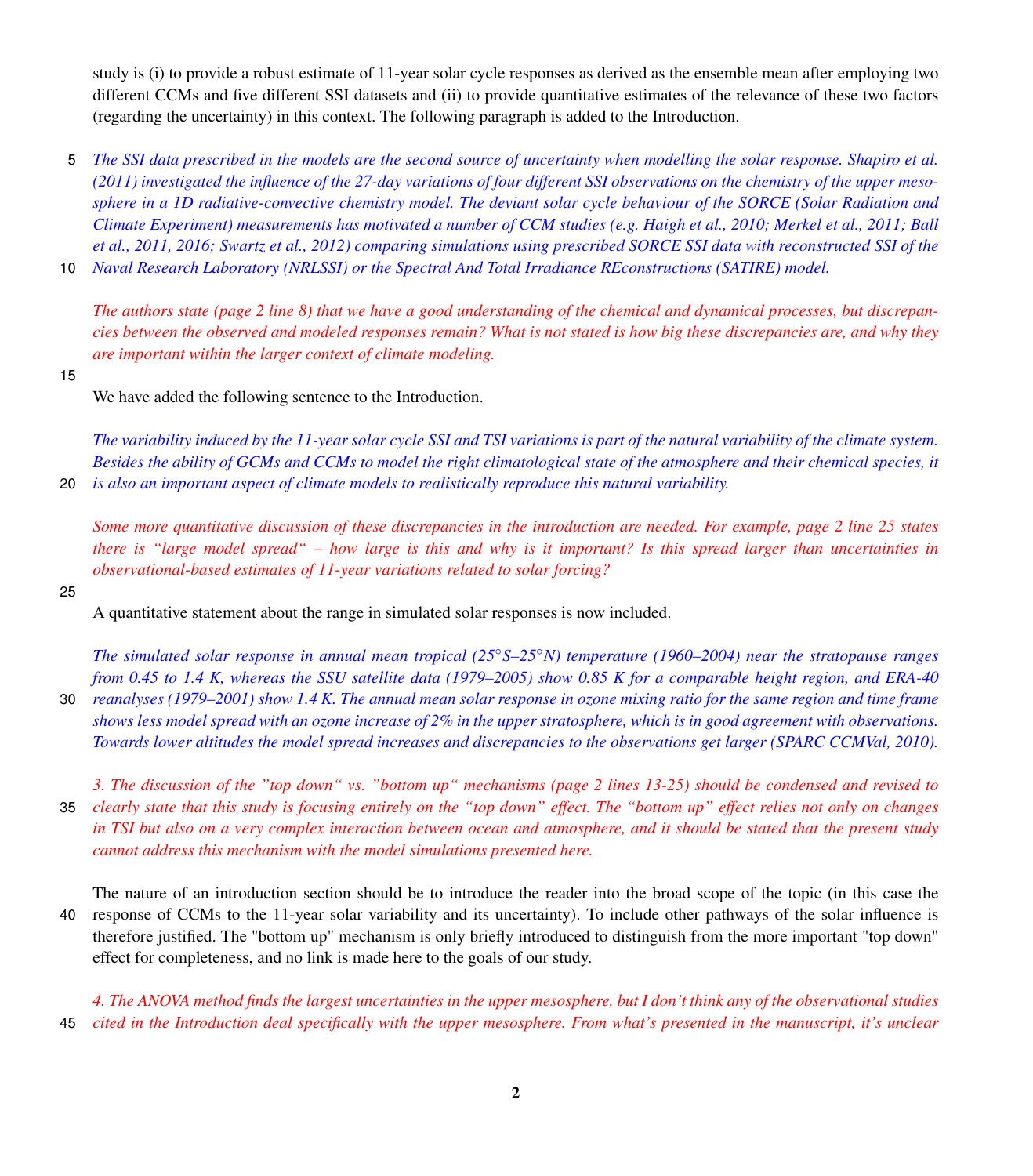study is (i) to provide a robust estimate of 11-year solar cycle responses as derived as the ensemble mean after employing two different CCMs and five different SSI datasets and (ii) to provide quantitative estimates of the relevance of these two factors (regarding the uncertainty) in this context. The following paragraph is added to the Introduction.

- 5 *The SSI data prescribed in the models are the second source of uncertainty when modelling the solar response. [Shapiro et al.](#page-9-0) [\(2011\)](#page-9-0) investigated the influence of the 27-day variations of four different SSI observations on the chemistry of the upper mesosphere in a 1D radiative-convective chemistry model. The deviant solar cycle behaviour of the SORCE (Solar Radiation and [C](#page-9-3)limate Experiment) measurements has motivated a number of CCM studies (e.g. [Haigh et al., 2010;](#page-9-1) [Merkel et al., 2011;](#page-9-2) [Ball](#page-9-3) [et al., 2011,](#page-9-3) [2016;](#page-9-4) [Swartz et al., 2012\)](#page-9-5) comparing simulations using prescribed SORCE SSI data with reconstructed SSI of the*
- 10 *Naval Research Laboratory (NRLSSI) or the Spectral And Total Irradiance REconstructions (SATIRE) model.*

*The authors state (page 2 line 8) that we have a good understanding of the chemical and dynamical processes, but discrepancies between the observed and modeled responses remain? What is not stated is how big these discrepancies are, and why they are important within the larger context of climate modeling.*

15

We have added the following sentence to the Introduction.

*The variability induced by the 11-year solar cycle SSI and TSI variations is part of the natural variability of the climate system. Besides the ability of GCMs and CCMs to model the right climatological state of the atmosphere and their chemical species, it* 20 *is also an important aspect of climate models to realistically reproduce this natural variability.*

*Some more quantitative discussion of these discrepancies in the introduction are needed. For example, page 2 line 25 states there is "large model spread" – how large is this and why is it important? Is this spread larger than uncertainties in observational-based estimates of 11-year variations related to solar forcing?*

25

A quantitative statement about the range in simulated solar responses is now included.

*The simulated solar response in annual mean tropical (25*◦*S–25*◦*N) temperature (1960–2004) near the stratopause ranges from 0.45 to 1.4 K, whereas the SSU satellite data (1979–2005) show 0.85 K for a comparable height region, and ERA-40* 30 *reanalyses (1979–2001) show 1.4 K. The annual mean solar response in ozone mixing ratio for the same region and time frame*

*shows less model spread with an ozone increase of 2% in the upper stratosphere, which is in good agreement with observations. Towards lower altitudes the model spread increases and discrepancies to the observations get larger (SPARC CCMVal, 2010).*

*3. The discussion of the "top down" vs. "bottom up" mechanisms (page 2 lines 13-25) should be condensed and revised to* 35 *clearly state that this study is focusing entirely on the "top down" effect. The "bottom up" effect relies not only on changes in TSI but also on a very complex interaction between ocean and atmosphere, and it should be stated that the present study cannot address this mechanism with the model simulations presented here.*

The nature of an introduction section should be to introduce the reader into the broad scope of the topic (in this case the 40 response of CCMs to the 11-year solar variability and its uncertainty). To include other pathways of the solar influence is therefore justified. The "bottom up" mechanism is only briefly introduced to distinguish from the more important "top down" effect for completeness, and no link is made here to the goals of our study.

*4. The ANOVA method finds the largest uncertainties in the upper mesosphere, but I don't think any of the observational studies* 45 *cited in the Introduction deal specifically with the upper mesosphere. From what's presented in the manuscript, it's unclear*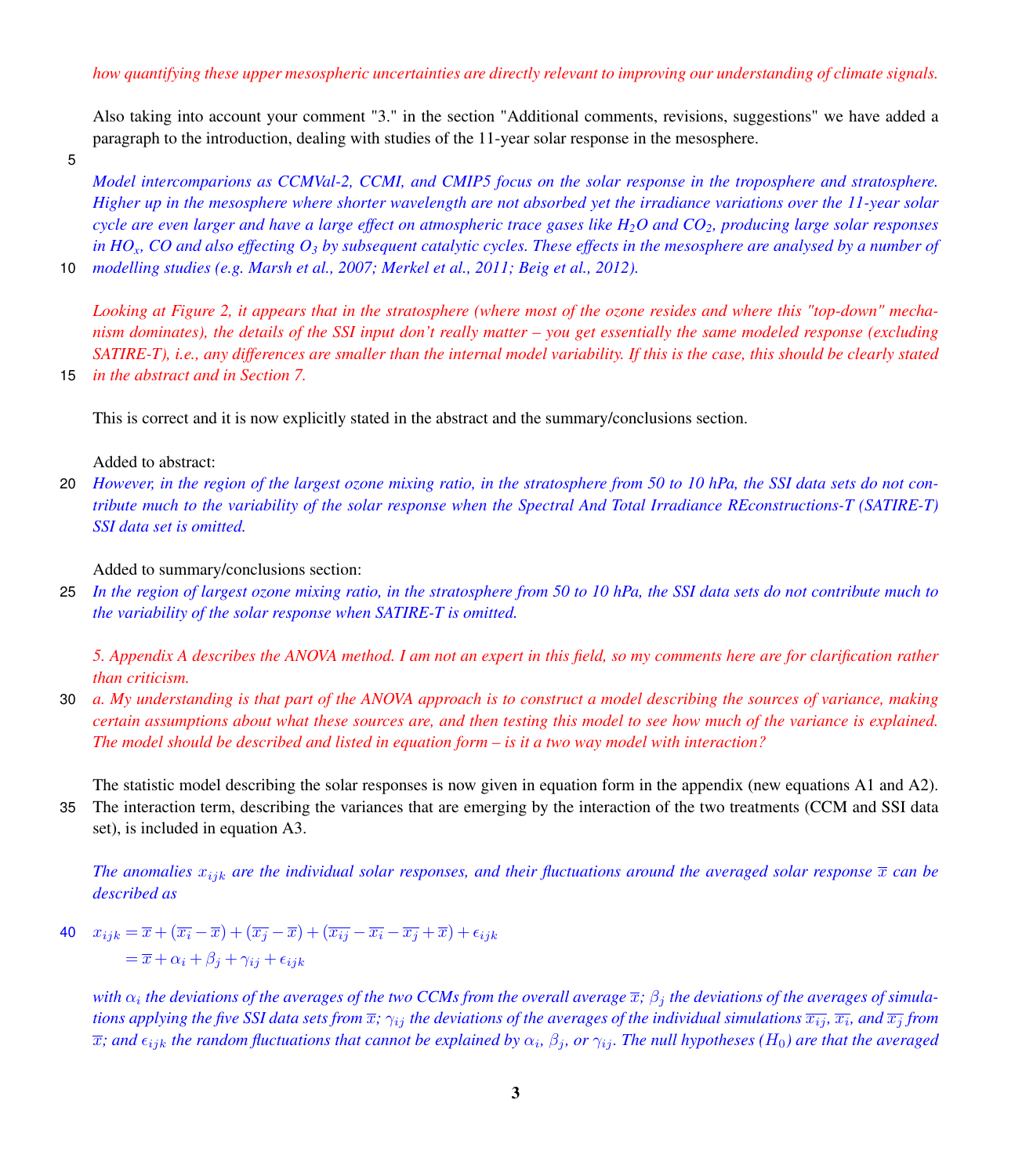Also taking into account your comment "3." in the section "Additional comments, revisions, suggestions" we have added a paragraph to the introduction, dealing with studies of the 11-year solar response in the mesosphere.

5

*Model intercomparions as CCMVal-2, CCMI, and CMIP5 focus on the solar response in the troposphere and stratosphere. Higher up in the mesosphere where shorter wavelength are not absorbed yet the irradiance variations over the 11-year solar cycle are even larger and have a large effect on atmospheric trace gases like H2O and CO2, producing large solar responses in HOx, CO and also effecting O<sup>3</sup> by subsequent catalytic cycles. These effects in the mesosphere are analysed by a number of*

10 *modelling studies (e.g. [Marsh et al., 2007;](#page-9-6) [Merkel et al., 2011;](#page-9-2) [Beig et al., 2012\)](#page-9-7).*

*Looking at Figure 2, it appears that in the stratosphere (where most of the ozone resides and where this "top-down" mechanism dominates), the details of the SSI input don't really matter – you get essentially the same modeled response (excluding SATIRE-T), i.e., any differences are smaller than the internal model variability. If this is the case, this should be clearly stated* 15 *in the abstract and in Section 7.*

This is correct and it is now explicitly stated in the abstract and the summary/conclusions section.

Added to abstract:

20 *However, in the region of the largest ozone mixing ratio, in the stratosphere from 50 to 10 hPa, the SSI data sets do not contribute much to the variability of the solar response when the Spectral And Total Irradiance REconstructions-T (SATIRE-T) SSI data set is omitted.*

Added to summary/conclusions section:

25 *In the region of largest ozone mixing ratio, in the stratosphere from 50 to 10 hPa, the SSI data sets do not contribute much to the variability of the solar response when SATIRE-T is omitted.*

*5. Appendix A describes the ANOVA method. I am not an expert in this field, so my comments here are for clarification rather than criticism.*

30 *a. My understanding is that part of the ANOVA approach is to construct a model describing the sources of variance, making certain assumptions about what these sources are, and then testing this model to see how much of the variance is explained. The model should be described and listed in equation form – is it a two way model with interaction?*

The statistic model describing the solar responses is now given in equation form in the appendix (new equations A1 and A2). 35 The interaction term, describing the variances that are emerging by the interaction of the two treatments (CCM and SSI data set), is included in equation A3.

*The anomalies*  $x_{ijk}$  *are the individual solar responses, and their fluctuations around the averaged solar response*  $\bar{x}$  *can be described as*

40  $x_{ijk} = \overline{x} + (\overline{x_i} - \overline{x}) + (\overline{x_j} - \overline{x}) + (\overline{x_{ij}} - \overline{x_i} - \overline{x_j} + \overline{x}) + \epsilon_{ijk}$  $=\overline{x} + \alpha_i + \beta_i + \gamma_{ii} + \epsilon_{ijk}$ 

with  $\alpha_i$  the deviations of the averages of the two CCMs from the overall average  $\overline{x}$ ;  $\beta_j$  the deviations of the averages of simula*tions applying the five SSI data sets from*  $\overline{x}$ ;  $\gamma_{ij}$  *the deviations of the averages of the individual simulations*  $\overline{x_{ij}}$ ,  $\overline{x_i}$ , *and*  $\overline{x_j}$  *from*  $\overline{x}$ ; and  $\epsilon_{ijk}$  the random fluctuations that cannot be explained by  $\alpha_i$ ,  $\beta_j$ , or  $\gamma_{ij}$ . The null hypotheses (H<sub>0</sub>) are that the averaged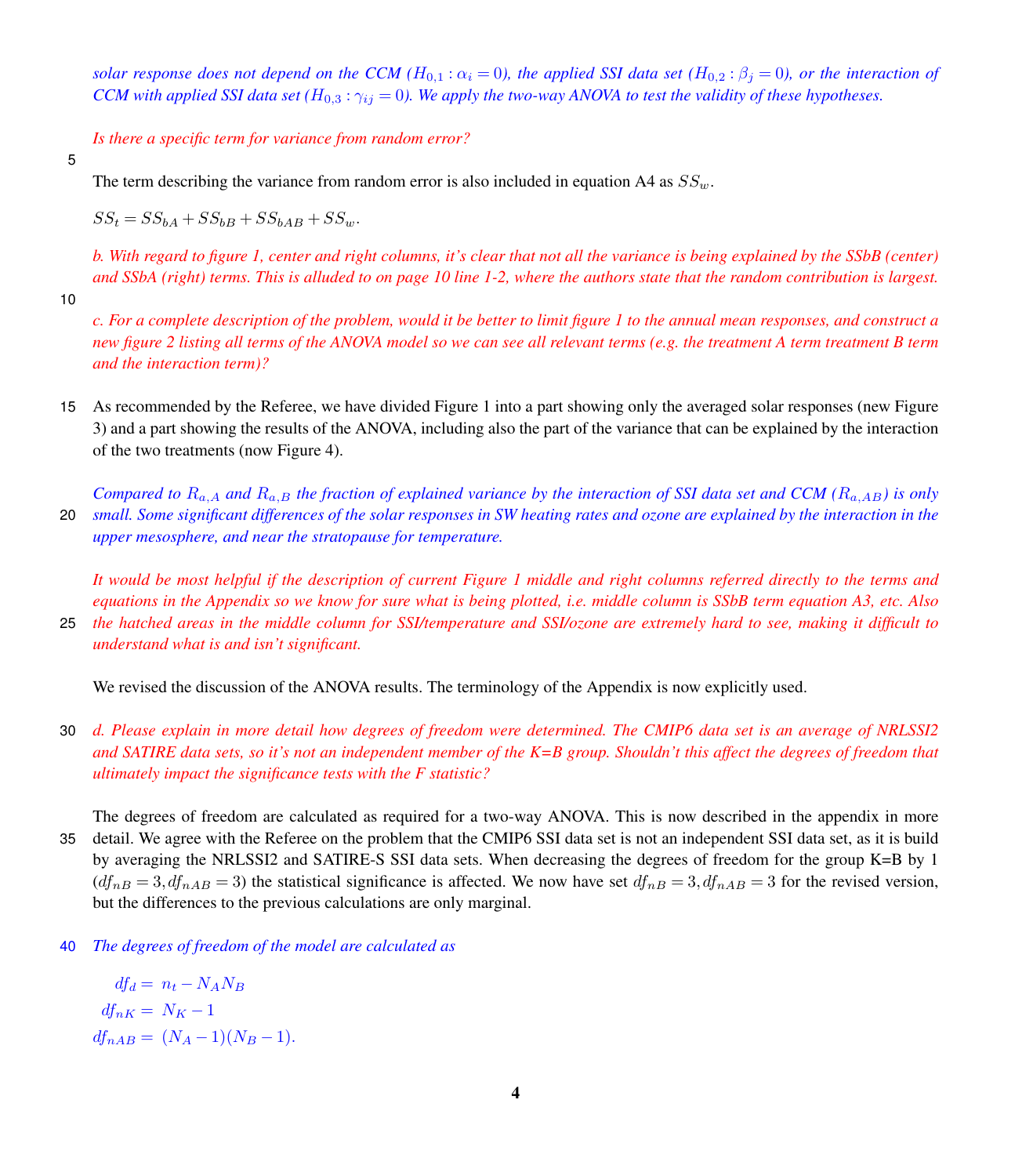*solar response does not depend on the CCM* ( $H_{0,1}$ :  $\alpha_i = 0$ ), the applied SSI data set ( $H_{0,2}$ :  $\beta_i = 0$ ), or the interaction of *CCM with applied SSI data set* ( $H_{0,3}$ :  $\gamma_{ij} = 0$ ). We apply the two-way ANOVA to test the validity of these hypotheses.

*Is there a specific term for variance from random error?*

5

The term describing the variance from random error is also included in equation A4 as  $SS<sub>w</sub>$ .

 $SS_t = SS_{bA} + SS_{bB} + SS_{bAB} + SS_w.$ 

*b. With regard to figure 1, center and right columns, it's clear that not all the variance is being explained by the SSbB (center) and SSbA (right) terms. This is alluded to on page 10 line 1-2, where the authors state that the random contribution is largest.*

10

*c. For a complete description of the problem, would it be better to limit figure 1 to the annual mean responses, and construct a new figure 2 listing all terms of the ANOVA model so we can see all relevant terms (e.g. the treatment A term treatment B term and the interaction term)?*

15 As recommended by the Referee, we have divided Figure 1 into a part showing only the averaged solar responses (new Figure 3) and a part showing the results of the ANOVA, including also the part of the variance that can be explained by the interaction of the two treatments (now Figure 4).

*Compared to*  $R_{a,A}$  *and*  $R_{a,B}$  *the fraction of explained variance by the interaction of SSI data set and CCM* ( $R_{a,AB}$ ) is only 20 *small. Some significant differences of the solar responses in SW heating rates and ozone are explained by the interaction in the upper mesosphere, and near the stratopause for temperature.*

*It would be most helpful if the description of current Figure 1 middle and right columns referred directly to the terms and equations in the Appendix so we know for sure what is being plotted, i.e. middle column is SSbB term equation A3, etc. Also* 25 *the hatched areas in the middle column for SSI/temperature and SSI/ozone are extremely hard to see, making it difficult to understand what is and isn't significant.*

We revised the discussion of the ANOVA results. The terminology of the Appendix is now explicitly used.

30 *d. Please explain in more detail how degrees of freedom were determined. The CMIP6 data set is an average of NRLSSI2 and SATIRE data sets, so it's not an independent member of the K=B group. Shouldn't this affect the degrees of freedom that ultimately impact the significance tests with the F statistic?*

The degrees of freedom are calculated as required for a two-way ANOVA. This is now described in the appendix in more 35 detail. We agree with the Referee on the problem that the CMIP6 SSI data set is not an independent SSI data set, as it is build by averaging the NRLSSI2 and SATIRE-S SSI data sets. When decreasing the degrees of freedom for the group K=B by 1  $(df<sub>nB</sub> = 3, df<sub>nAB</sub> = 3)$  the statistical significance is affected. We now have set  $df<sub>nB</sub> = 3, df<sub>nAB</sub> = 3$  for the revised version, but the differences to the previous calculations are only marginal.

40 *The degrees of freedom of the model are calculated as*

 $df_d = n_t - N_A N_B$  $df_{nK} = N_K - 1$  $df_{nAB} = (N_A - 1)(N_B - 1).$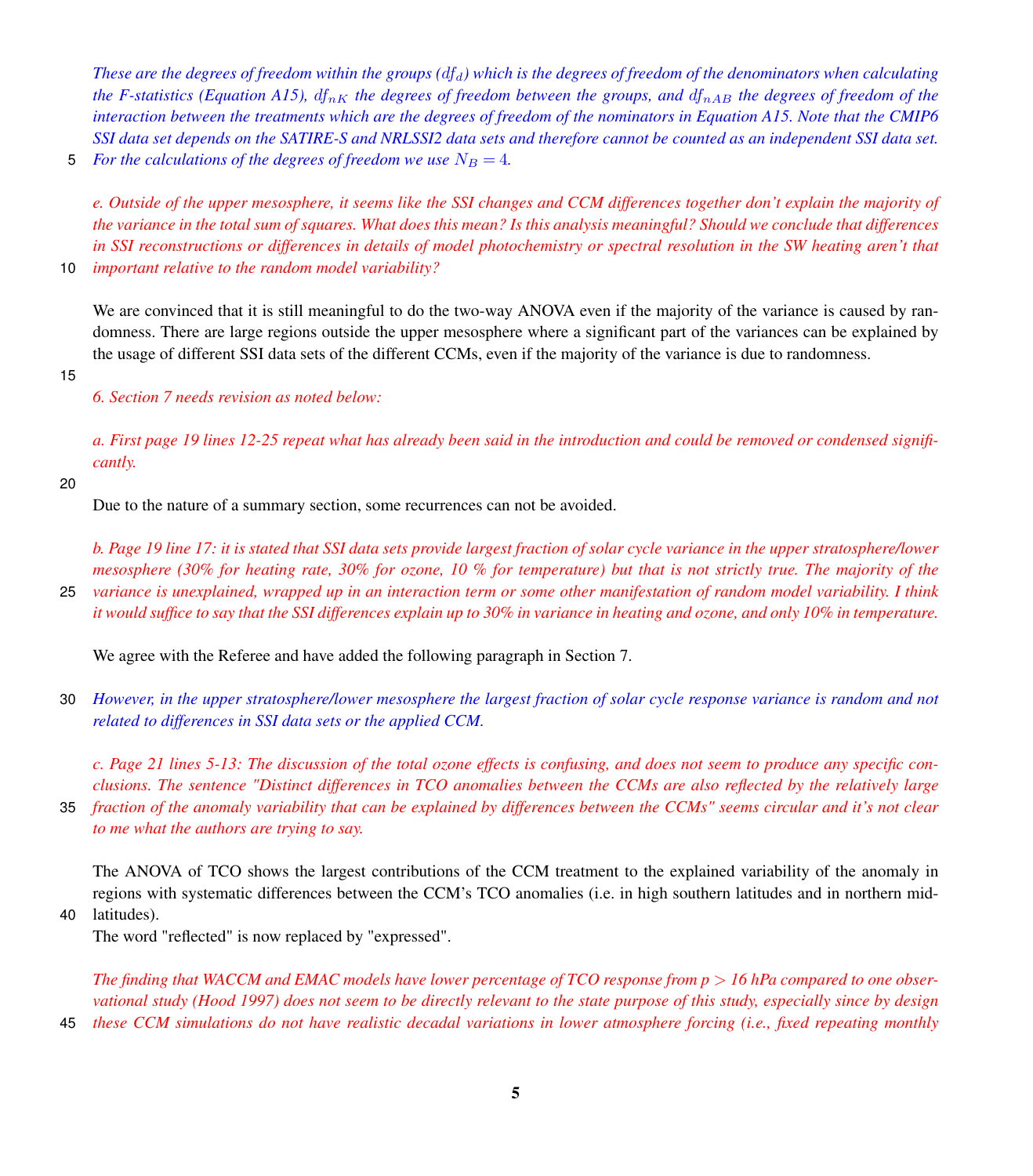*These are the degrees of freedom within the groups (* $df<sub>d</sub>$ *) which is the degrees of freedom of the denominators when calculating the F-statistics (Equation A15),*  $df_{nK}$  *the degrees of freedom between the groups, and*  $df_{nAB}$  *the degrees of freedom of the interaction between the treatments which are the degrees of freedom of the nominators in Equation A15. Note that the CMIP6 SSI data set depends on the SATIRE-S and NRLSSI2 data sets and therefore cannot be counted as an independent SSI data set.*

5 *For the calculations of the degrees of freedom we use*  $N_B = 4$ *.* 

*e. Outside of the upper mesosphere, it seems like the SSI changes and CCM differences together don't explain the majority of the variance in the total sum of squares. What does this mean? Is this analysis meaningful? Should we conclude that differences in SSI reconstructions or differences in details of model photochemistry or spectral resolution in the SW heating aren't that* 10 *important relative to the random model variability?*

We are convinced that it is still meaningful to do the two-way ANOVA even if the majority of the variance is caused by randomness. There are large regions outside the upper mesosphere where a significant part of the variances can be explained by the usage of different SSI data sets of the different CCMs, even if the majority of the variance is due to randomness.

15

*6. Section 7 needs revision as noted below:*

*a. First page 19 lines 12-25 repeat what has already been said in the introduction and could be removed or condensed significantly.*

#### 20

Due to the nature of a summary section, some recurrences can not be avoided.

*b. Page 19 line 17: it is stated that SSI data sets provide largest fraction of solar cycle variance in the upper stratosphere/lower mesosphere (30% for heating rate, 30% for ozone, 10 % for temperature) but that is not strictly true. The majority of the*

25 *variance is unexplained, wrapped up in an interaction term or some other manifestation of random model variability. I think it would suffice to say that the SSI differences explain up to 30% in variance in heating and ozone, and only 10% in temperature.*

We agree with the Referee and have added the following paragraph in Section 7.

30 *However, in the upper stratosphere/lower mesosphere the largest fraction of solar cycle response variance is random and not related to differences in SSI data sets or the applied CCM.*

*c. Page 21 lines 5-13: The discussion of the total ozone effects is confusing, and does not seem to produce any specific conclusions. The sentence "Distinct differences in TCO anomalies between the CCMs are also reflected by the relatively large* 35 *fraction of the anomaly variability that can be explained by differences between the CCMs" seems circular and it's not clear*

*to me what the authors are trying to say.*

The ANOVA of TCO shows the largest contributions of the CCM treatment to the explained variability of the anomaly in regions with systematic differences between the CCM's TCO anomalies (i.e. in high southern latitudes and in northern mid-

40 latitudes).

The word "reflected" is now replaced by "expressed".

*The finding that WACCM and EMAC models have lower percentage of TCO response from p > 16 hPa compared to one observational study (Hood 1997) does not seem to be directly relevant to the state purpose of this study, especially since by design*

45 *these CCM simulations do not have realistic decadal variations in lower atmosphere forcing (i.e., fixed repeating monthly*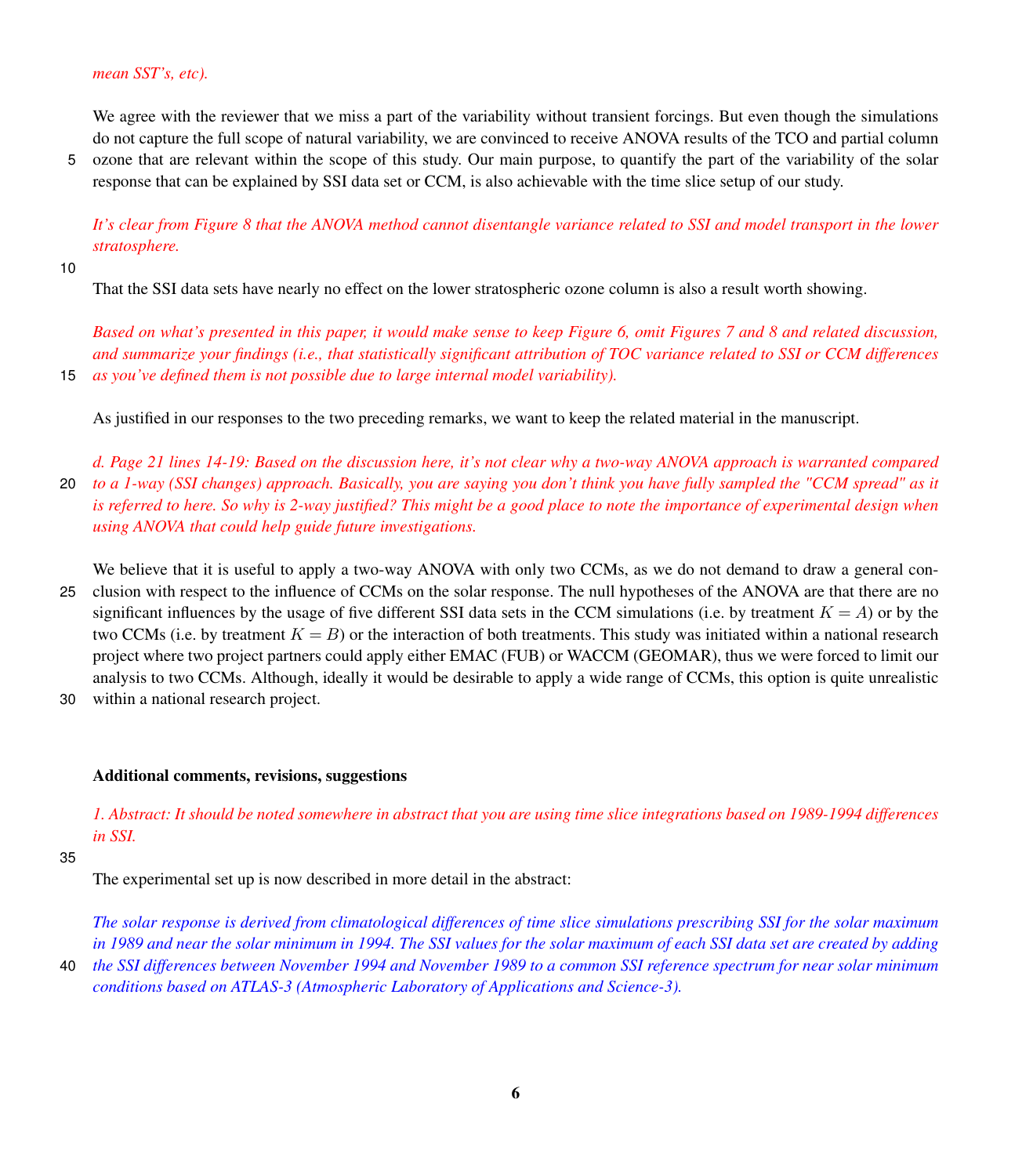We agree with the reviewer that we miss a part of the variability without transient forcings. But even though the simulations do not capture the full scope of natural variability, we are convinced to receive ANOVA results of the TCO and partial column

5 ozone that are relevant within the scope of this study. Our main purpose, to quantify the part of the variability of the solar response that can be explained by SSI data set or CCM, is also achievable with the time slice setup of our study.

*It's clear from Figure 8 that the ANOVA method cannot disentangle variance related to SSI and model transport in the lower stratosphere.*

10

That the SSI data sets have nearly no effect on the lower stratospheric ozone column is also a result worth showing.

*Based on what's presented in this paper, it would make sense to keep Figure 6, omit Figures 7 and 8 and related discussion, and summarize your findings (i.e., that statistically significant attribution of TOC variance related to SSI or CCM differences* 15 *as you've defined them is not possible due to large internal model variability).*

As justified in our responses to the two preceding remarks, we want to keep the related material in the manuscript.

*d. Page 21 lines 14-19: Based on the discussion here, it's not clear why a two-way ANOVA approach is warranted compared* 20 *to a 1-way (SSI changes) approach. Basically, you are saying you don't think you have fully sampled the "CCM spread" as it is referred to here. So why is 2-way justified? This might be a good place to note the importance of experimental design when using ANOVA that could help guide future investigations.*

We believe that it is useful to apply a two-way ANOVA with only two CCMs, as we do not demand to draw a general con-

- 25 clusion with respect to the influence of CCMs on the solar response. The null hypotheses of the ANOVA are that there are no significant influences by the usage of five different SSI data sets in the CCM simulations (i.e. by treatment  $K = A$ ) or by the two CCMs (i.e. by treatment  $K = B$ ) or the interaction of both treatments. This study was initiated within a national research project where two project partners could apply either EMAC (FUB) or WACCM (GEOMAR), thus we were forced to limit our analysis to two CCMs. Although, ideally it would be desirable to apply a wide range of CCMs, this option is quite unrealistic
- 30 within a national research project.

# Additional comments, revisions, suggestions

*1. Abstract: It should be noted somewhere in abstract that you are using time slice integrations based on 1989-1994 differences in SSI.*

# 35

The experimental set up is now described in more detail in the abstract:

*The solar response is derived from climatological differences of time slice simulations prescribing SSI for the solar maximum in 1989 and near the solar minimum in 1994. The SSI values for the solar maximum of each SSI data set are created by adding*

40 *the SSI differences between November 1994 and November 1989 to a common SSI reference spectrum for near solar minimum conditions based on ATLAS-3 (Atmospheric Laboratory of Applications and Science-3).*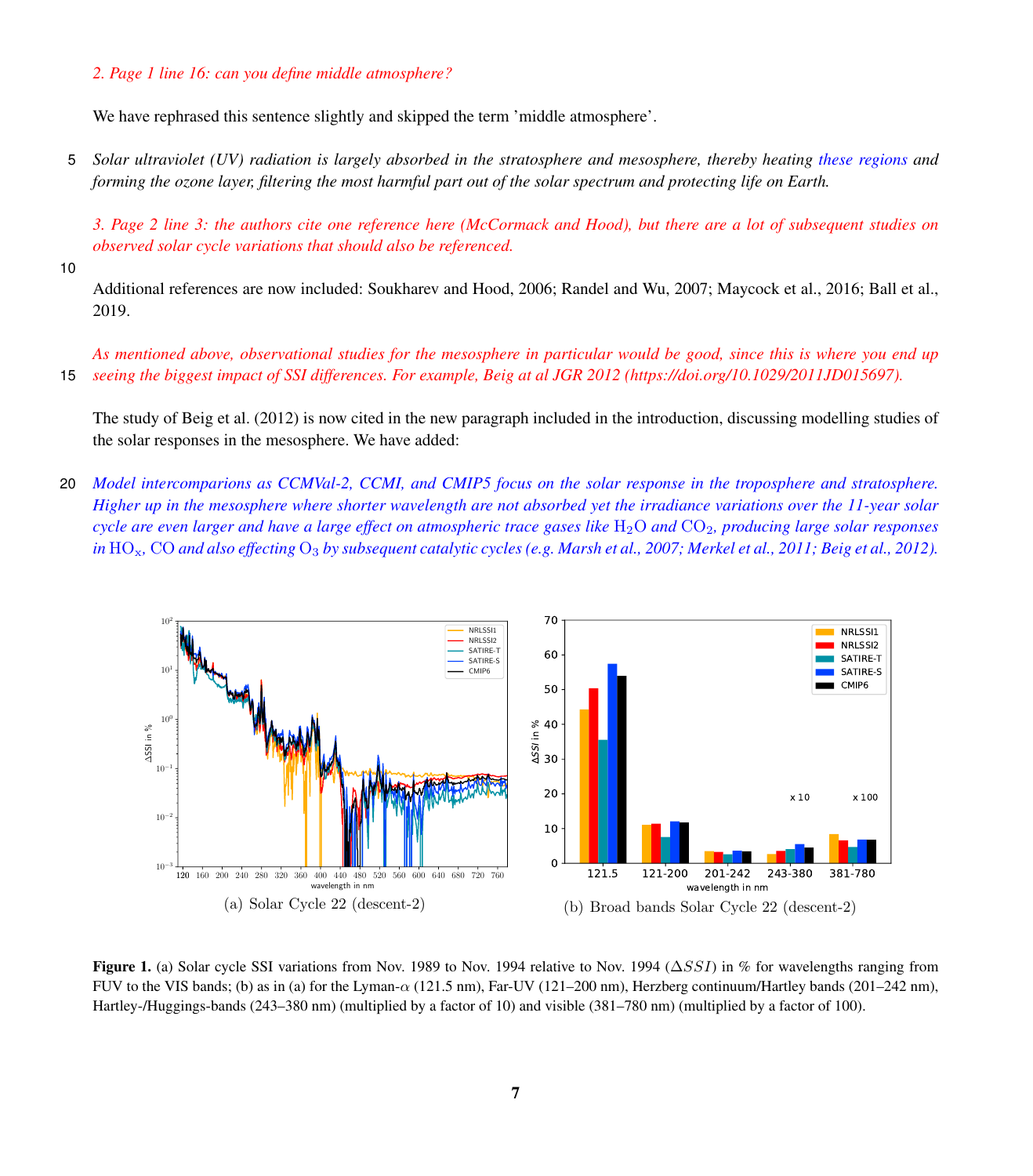## *2. Page 1 line 16: can you define middle atmosphere?*

We have rephrased this sentence slightly and skipped the term 'middle atmosphere'.

5 *Solar ultraviolet (UV) radiation is largely absorbed in the stratosphere and mesosphere, thereby heating these regions and forming the ozone layer, filtering the most harmful part out of the solar spectrum and protecting life on Earth.*

*3. Page 2 line 3: the authors cite one reference here (McCormack and Hood), but there are a lot of subsequent studies on observed solar cycle variations that should also be referenced.*

10

Additional references are now included: Soukharev and Hood, 2006; Randel and Wu, 2007; Maycock et al., 2016; Ball et al., 2019.

*As mentioned above, observational studies for the mesosphere in particular would be good, since this is where you end up* 15 *seeing the biggest impact of SSI differences. For example, Beig at al JGR 2012 (https://doi.org/10.1029/2011JD015697).*

The study of Beig et al. (2012) is now cited in the new paragraph included in the introduction, discussing modelling studies of the solar responses in the mesosphere. We have added:

20 *Model intercomparions as CCMVal-2, CCMI, and CMIP5 focus on the solar response in the troposphere and stratosphere. Higher up in the mesosphere where shorter wavelength are not absorbed yet the irradiance variations over the 11-year solar cycle are even larger and have a large effect on atmospheric trace gases like* H<sub>2</sub>O *and* CO<sub>2</sub>, producing large solar responses *in* HOx*,* CO *and also effecting* O<sup>3</sup> *by subsequent catalytic cycles (e.g. [Marsh et al., 2007;](#page-9-6) [Merkel et al., 2011;](#page-9-2) [Beig et al., 2012\)](#page-9-7).*

<span id="page-6-0"></span>

Figure 1. (a) Solar cycle SSI variations from Nov. 1989 to Nov. 1994 relative to Nov. 1994 ( $\Delta SSI$ ) in % for wavelengths ranging from FUV to the VIS bands; (b) as in (a) for the Lyman-α (121.5 nm), Far-UV (121–200 nm), Herzberg continuum/Hartley bands (201–242 nm), Hartley-/Huggings-bands (243–380 nm) (multiplied by a factor of 10) and visible (381–780 nm) (multiplied by a factor of 100).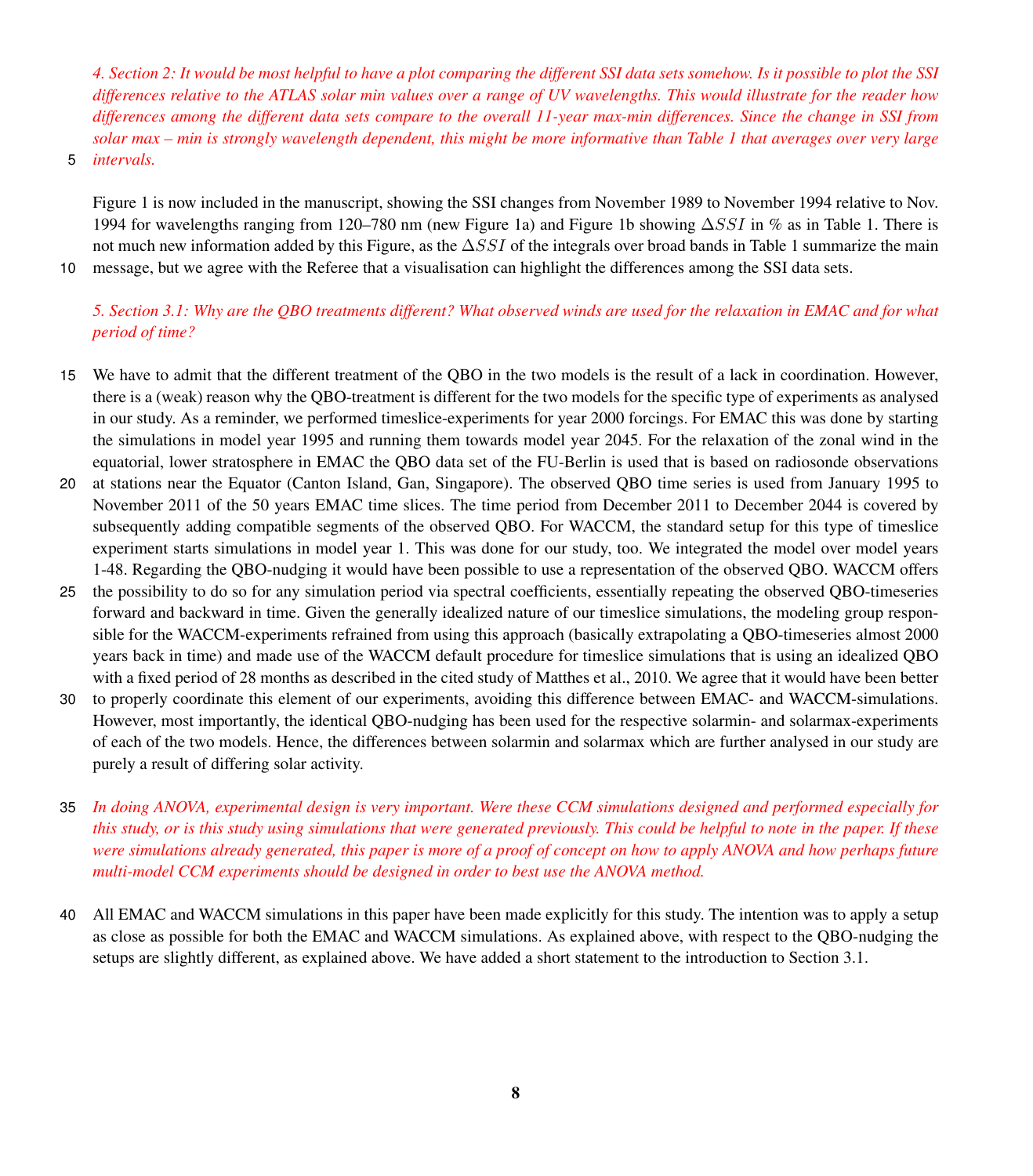*4. Section 2: It would be most helpful to have a plot comparing the different SSI data sets somehow. Is it possible to plot the SSI differences relative to the ATLAS solar min values over a range of UV wavelengths. This would illustrate for the reader how differences among the different data sets compare to the overall 11-year max-min differences. Since the change in SSI from solar max – min is strongly wavelength dependent, this might be more informative than Table 1 that averages over very large*

5 *intervals.*

Figure [1](#page-6-0) is now included in the manuscript, showing the SSI changes from November 1989 to November 1994 relative to Nov. 1994 for wavelengths ranging from 120–780 nm (new Figure 1a) and Figure 1b showing ∆SSI in % as in Table 1. There is not much new information added by this Figure, as the  $\Delta SSI$  of the integrals over broad bands in Table 1 summarize the main

10 message, but we agree with the Referee that a visualisation can highlight the differences among the SSI data sets.

# *5. Section 3.1: Why are the QBO treatments different? What observed winds are used for the relaxation in EMAC and for what period of time?*

- 15 We have to admit that the different treatment of the QBO in the two models is the result of a lack in coordination. However, there is a (weak) reason why the QBO-treatment is different for the two models for the specific type of experiments as analysed in our study. As a reminder, we performed timeslice-experiments for year 2000 forcings. For EMAC this was done by starting the simulations in model year 1995 and running them towards model year 2045. For the relaxation of the zonal wind in the equatorial, lower stratosphere in EMAC the QBO data set of the FU-Berlin is used that is based on radiosonde observations
- 20 at stations near the Equator (Canton Island, Gan, Singapore). The observed QBO time series is used from January 1995 to November 2011 of the 50 years EMAC time slices. The time period from December 2011 to December 2044 is covered by subsequently adding compatible segments of the observed QBO. For WACCM, the standard setup for this type of timeslice experiment starts simulations in model year 1. This was done for our study, too. We integrated the model over model years 1-48. Regarding the QBO-nudging it would have been possible to use a representation of the observed QBO. WACCM offers
- 25 the possibility to do so for any simulation period via spectral coefficients, essentially repeating the observed QBO-timeseries forward and backward in time. Given the generally idealized nature of our timeslice simulations, the modeling group responsible for the WACCM-experiments refrained from using this approach (basically extrapolating a QBO-timeseries almost 2000 years back in time) and made use of the WACCM default procedure for timeslice simulations that is using an idealized QBO with a fixed period of 28 months as described in the cited study of Matthes et al., 2010. We agree that it would have been better
- 30 to properly coordinate this element of our experiments, avoiding this difference between EMAC- and WACCM-simulations. However, most importantly, the identical QBO-nudging has been used for the respective solarmin- and solarmax-experiments of each of the two models. Hence, the differences between solarmin and solarmax which are further analysed in our study are purely a result of differing solar activity.
- 35 *In doing ANOVA, experimental design is very important. Were these CCM simulations designed and performed especially for this study, or is this study using simulations that were generated previously. This could be helpful to note in the paper. If these were simulations already generated, this paper is more of a proof of concept on how to apply ANOVA and how perhaps future multi-model CCM experiments should be designed in order to best use the ANOVA method.*
- 40 All EMAC and WACCM simulations in this paper have been made explicitly for this study. The intention was to apply a setup as close as possible for both the EMAC and WACCM simulations. As explained above, with respect to the QBO-nudging the setups are slightly different, as explained above. We have added a short statement to the introduction to Section 3.1.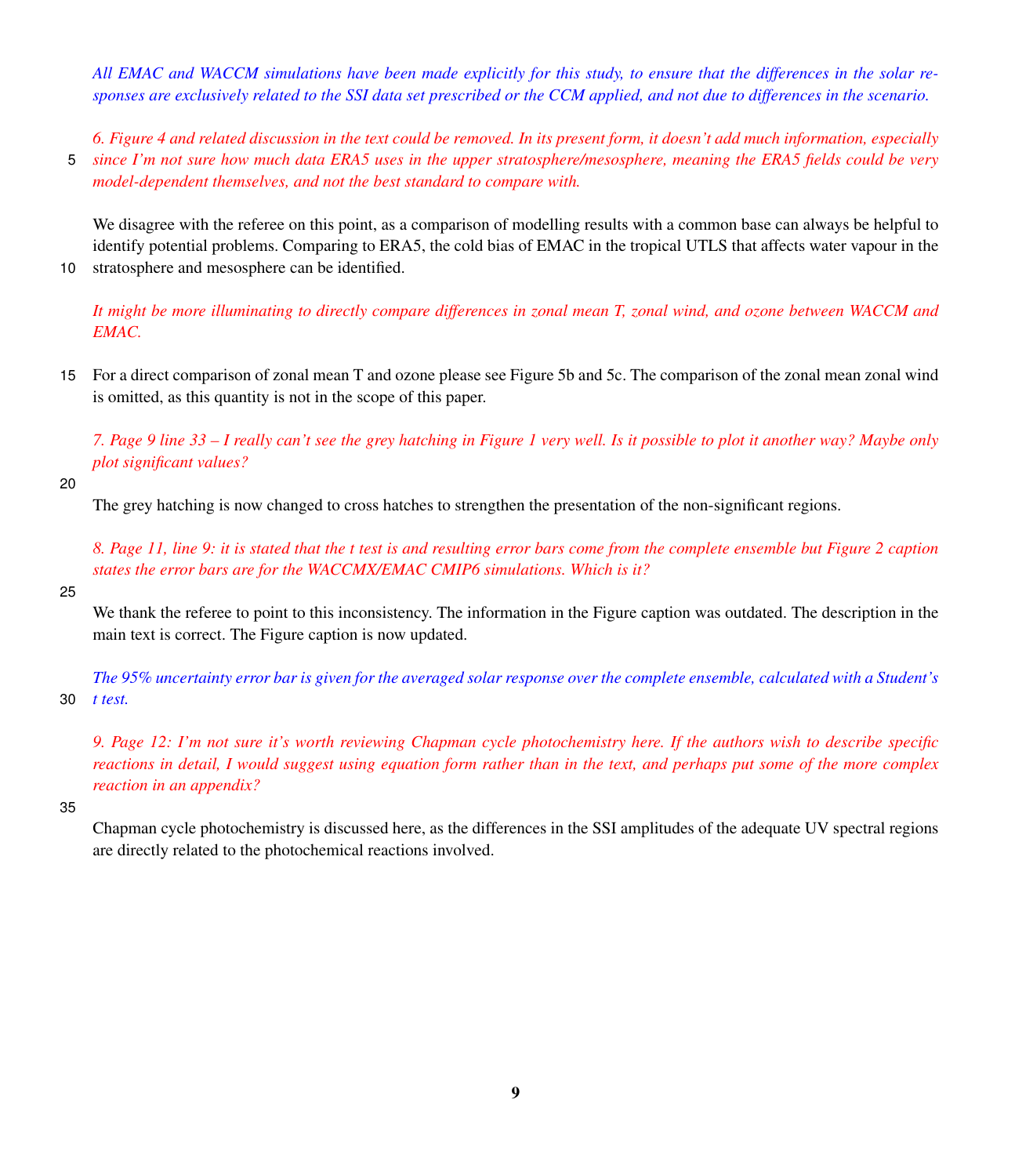*All EMAC and WACCM simulations have been made explicitly for this study, to ensure that the differences in the solar responses are exclusively related to the SSI data set prescribed or the CCM applied, and not due to differences in the scenario.*

*6. Figure 4 and related discussion in the text could be removed. In its present form, it doesn't add much information, especially* 5 *since I'm not sure how much data ERA5 uses in the upper stratosphere/mesosphere, meaning the ERA5 fields could be very model-dependent themselves, and not the best standard to compare with.*

We disagree with the referee on this point, as a comparison of modelling results with a common base can always be helpful to identify potential problems. Comparing to ERA5, the cold bias of EMAC in the tropical UTLS that affects water vapour in the 10 stratosphere and mesosphere can be identified.

*It might be more illuminating to directly compare differences in zonal mean T, zonal wind, and ozone between WACCM and EMAC.*

15 For a direct comparison of zonal mean T and ozone please see Figure 5b and 5c. The comparison of the zonal mean zonal wind is omitted, as this quantity is not in the scope of this paper.

*7. Page 9 line 33 – I really can't see the grey hatching in Figure 1 very well. Is it possible to plot it another way? Maybe only plot significant values?*

20

The grey hatching is now changed to cross hatches to strengthen the presentation of the non-significant regions.

*8. Page 11, line 9: it is stated that the t test is and resulting error bars come from the complete ensemble but Figure 2 caption states the error bars are for the WACCMX/EMAC CMIP6 simulations. Which is it?*

# 25

We thank the referee to point to this inconsistency. The information in the Figure caption was outdated. The description in the main text is correct. The Figure caption is now updated.

*The 95% uncertainty error bar is given for the averaged solar response over the complete ensemble, calculated with a Student's* 30 *t test.*

*9. Page 12: I'm not sure it's worth reviewing Chapman cycle photochemistry here. If the authors wish to describe specific reactions in detail, I would suggest using equation form rather than in the text, and perhaps put some of the more complex reaction in an appendix?*

35

Chapman cycle photochemistry is discussed here, as the differences in the SSI amplitudes of the adequate UV spectral regions are directly related to the photochemical reactions involved.